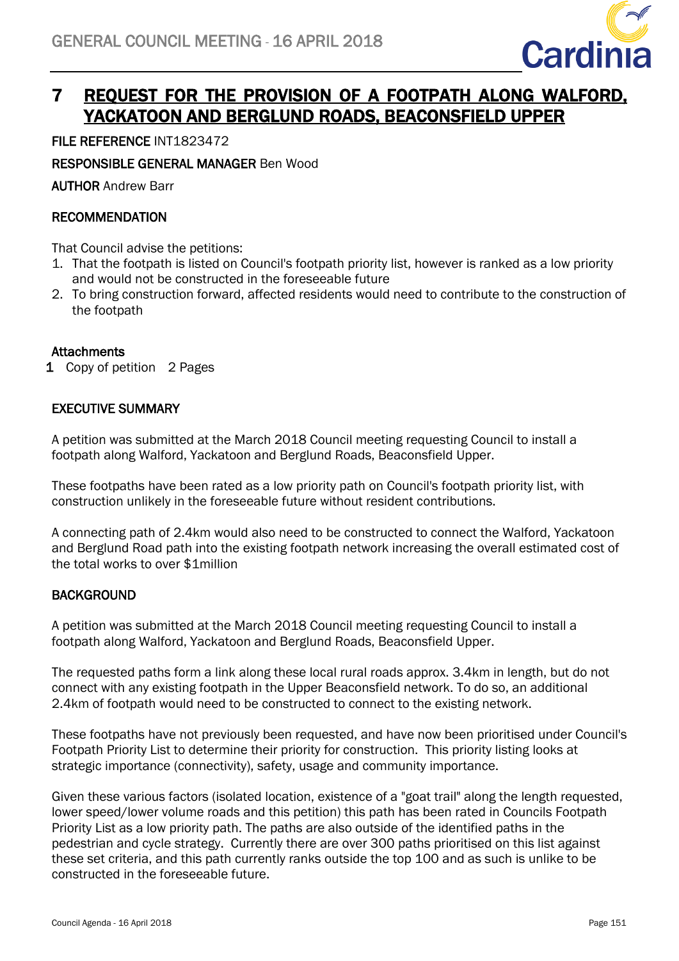

# 7 REQUEST FOR THE PROVISION OF A FOOTPATH ALONG WALFORD, YACKATOON AND BERGLUND ROADS, BEACONSFIELD UPPER

FILE REFERENCE INT1823472

RESPONSIBLE GENERAL MANAGER Ben Wood

AUTHOR Andrew Barr

## **RECOMMENDATION**

That Council advise the petitions:

- 1. That the footpath is listed on Council's footpath priority list, however is ranked as a low priority and would not be constructed in the foreseeable future
- 2. To bring construction forward, affected residents would need to contribute to the construction of the footpath

## Attachments

1 Copy of petition 2 Pages

#### EXECUTIVE SUMMARY

A petition was submitted at the March 2018 Council meeting requesting Council to install a footpath along Walford, Yackatoon and Berglund Roads, Beaconsfield Upper.

These footpaths have been rated as a low priority path on Council's footpath priority list, with construction unlikely in the foreseeable future without resident contributions.

A connecting path of 2.4km would also need to be constructed to connect the Walford, Yackatoon and Berglund Road path into the existing footpath network increasing the overall estimated cost of the total works to over \$1million

## **BACKGROUND**

A petition was submitted at the March 2018 Council meeting requesting Council to install a footpath along Walford, Yackatoon and Berglund Roads, Beaconsfield Upper.

The requested paths form a link along these local rural roads approx. 3.4km in length, but do not connect with any existing footpath in the Upper Beaconsfield network. To do so, an additional 2.4km of footpath would need to be constructed to connect to the existing network.

These footpaths have not previously been requested, and have now been prioritised under Council's Footpath Priority List to determine their priority for construction. This priority listing looks at strategic importance (connectivity), safety, usage and community importance.

Given these various factors (isolated location, existence of a "goat trail" along the length requested, lower speed/lower volume roads and this petition) this path has been rated in Councils Footpath Priority List as a low priority path. The paths are also outside of the identified paths in the pedestrian and cycle strategy. Currently there are over 300 paths prioritised on this list against these set criteria, and this path currently ranks outside the top 100 and as such is unlike to be constructed in the foreseeable future.